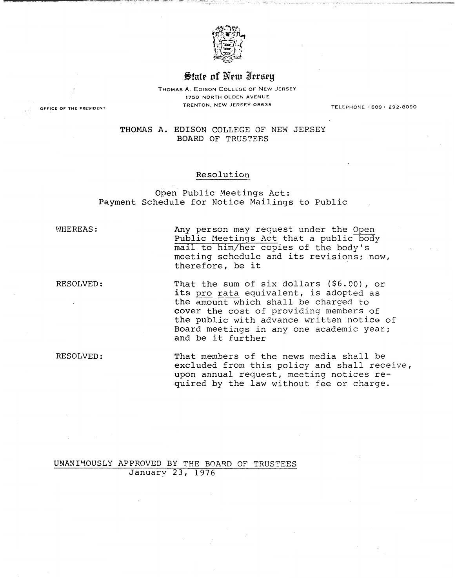

## $$$ tate of New Ierseu

THOMAS A. EDISON COLLEGE OF NEW JERSEY 1750 NORTH OLDEN AVENUE TRENTON. NEW JERSEY 08638 **OFFICE OF THE PRESIDENT** TELEPHONE f 609' 292·8090

THOMAS A. EDISON COLLEGE OF NEW JERSEY BOARD OF TRUSTEES

#### Resolution

Open Public Meetings Act: Payment Schedule for Notice Mailings to Public

WHEREAS: MEREAS: Any person may request under the Open Public Meetings Act that a public body mail to him/her copies of the body's meeting schedule and its revisions; now, therefore, be it

RESOLVED: That the sum of six dollars (\$6.00), or its pro rata equivalent, is adopted as the amount which shall be charged to cover the cost of providing members of the public with advance written notice of Board meetings in anyone academic year; and be it further

RESOLVED: That members of the news media shall be excluded from this policy and shall receive, upon annual request, meeting notices required by the law without fee or charge.

UNANIMOUSLY APPROVED BY THE BOARD OF TRUSTEES January 23, 1976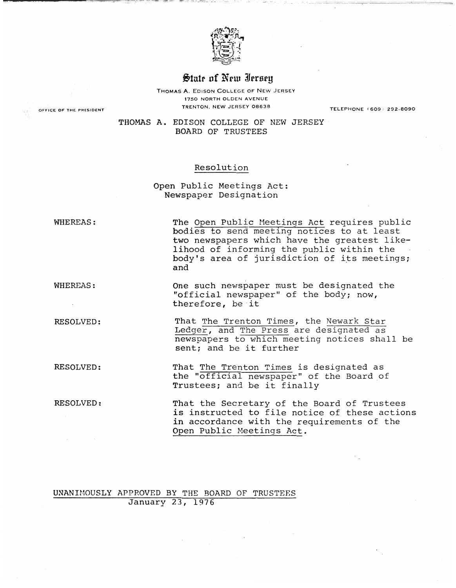

# State of New Iersey

THOMAS A. EDISON COLLEGE OF NEW JERSEY 1750 NORTH OLDEN AVENUE TRENTON, NEW JERSEY 08638 TELEPHONE (609, 292·6090

THOMAS A. EDISON COLLEGE OF NEW JERSEY BOARD OF TRUSTEES

### Resolution

Open Public Meetings Act: Newspaper Designation

WHEREAS:

The Open Public Meetings Act requires public bodies to send meeting notices to at least two newspapers which have the greatest likelihood of informing the public within the body's area of jurisdiction of its meetings; and

WHEREAS: One such newspaper must be designated the "official newspaper" of the body; now, therefore, be it

RESOLVED: That The Trenton Times, the Newark Star Ledger, and The Press are designated as newspapers to which meeting notices shall be sent; and be it further

RESOLVED: That The Trenton Times is designated as the "official newspaper" of the Board of Trustees; and be it finally

RESOLVED: That the Secretary of the Board of Trustees is instructed to file notice of these actions in accordance with the requirements of the Open Public Meetings Act.

### UNANH10USLY APPROVED BY THE BOARD OF TRUSTEES January 23, 1976

OFfiCE **OF** THE PRESIDENT

...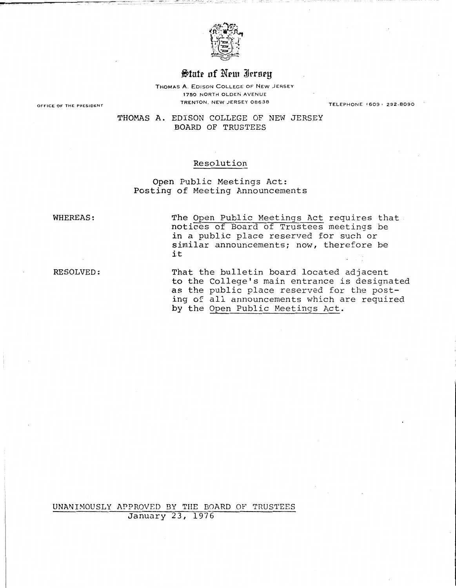

# $$$ tute of New Ierseu

THOMAS A. EDISON COLLEGE OF NEW JERSEY 1750 NORTH OLDEN AVENUE TRENTON. NEW JERSEY 08638 **OFFICE OF THE PRESIDENT** TELEPHONE' 609' 292·8090

THOMAS **A.** EDISON COLLEGE OF NEW JERSEY BOARD OF TRUSTEES

### Resolution

Open Public Meetings Act: Posting of Meeting Announcements

WHEREAS: The Open Public Meetings Act requires that notices of Board of Trustees meetings be in a public place reserved for such or similar announcements; now, therefore be it

RESOLVED: That the bulletin board located adjacent to the College's main entrance is designated as the public place reserved for the posting of all announcements which are required by the Open Public Meetings Act.

UNANHI0USLY APPROVED BY THE BOARD OF TRUSTEES January 23, 1976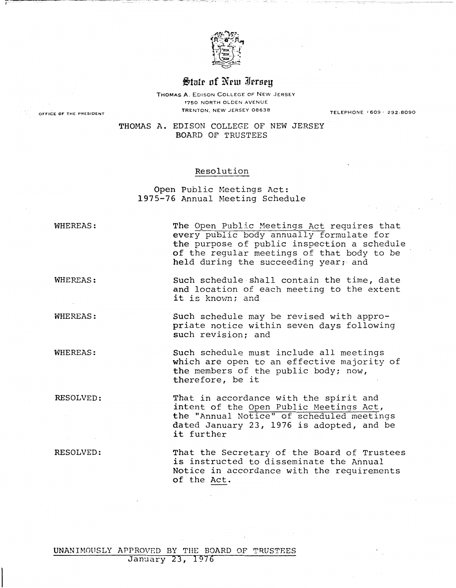

# State of New Iersey

THOMAS A. EDISON COLLEGE OF NEW JERSEY 1750 NORTH OLDEN AVENUE TRENTON. NEW JERSEY 06636 **OFFICE OF** THE **PRESIDENT** TELEPHONE (609, 292-6090

THOMAS A. EDISON COLLEGE OF NEW JERSEY BOARD OF TRUSTEES

#### Resolution

Open Public Meetings Act: 1975-76 Annual Meeting Schedule

WHEREAS: The Open Public Meetings Act requires that every public body annually formulate for the purpose of public inspection a schedule of the regular meetings of that body to be held during the succeeding year; and

WHEREAS: Such schedule shall contain the time, date and location of each meeting to the extent it is known; and

WHEREAS: Such schedule may be revised with appropriate notice within seven days following such revision; and

WHEREAS: Such schedule must include all meetings which are open to an effective majority of the members of the public body; now, therefore, be it

~-~---.-" --'''''- r- .,.--.------.

RESOLVED: That in accordance with the spirit and intent of the Open Public Meetings Act, the "Annual Notice" of scheduled meetings dated January 23, 1976 is adopted, and be it further

RESOLVED: That the Secretary of the Board of Trustees is instructed to disseminate the Annual Notice in accordance with the requirements of the Act.

UNANIMOUSLY APPROVED BY THE BOARD OF TRUSTEES January 23, 1976